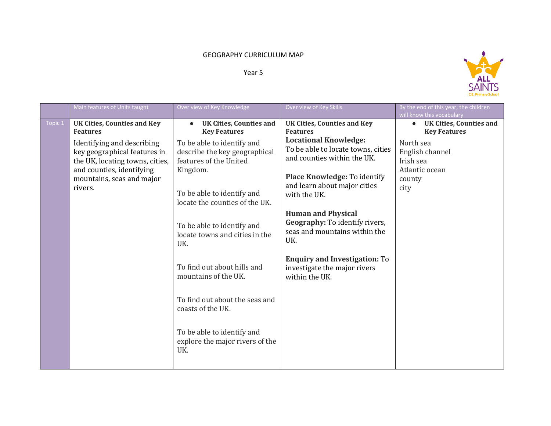## GEOGRAPHY CURRICULUM MAP

Year 5



|         | Main features of Units taught                                                                                                                                                                                               | Over view of Key Knowledge                                                                                                                                                                                                                                                                                                                                                                                                                                                              | Over view of Key Skills                                                                                                                                                                                                                                                                                                                                                                                                                     | By the end of this year, the children<br>will know this vocabulary                                                                                  |
|---------|-----------------------------------------------------------------------------------------------------------------------------------------------------------------------------------------------------------------------------|-----------------------------------------------------------------------------------------------------------------------------------------------------------------------------------------------------------------------------------------------------------------------------------------------------------------------------------------------------------------------------------------------------------------------------------------------------------------------------------------|---------------------------------------------------------------------------------------------------------------------------------------------------------------------------------------------------------------------------------------------------------------------------------------------------------------------------------------------------------------------------------------------------------------------------------------------|-----------------------------------------------------------------------------------------------------------------------------------------------------|
| Topic 1 | <b>UK Cities, Counties and Key</b><br><b>Features</b><br>Identifying and describing<br>key geographical features in<br>the UK, locating towns, cities,<br>and counties, identifying<br>mountains, seas and major<br>rivers. | <b>UK Cities, Counties and</b><br><b>Key Features</b><br>To be able to identify and<br>describe the key geographical<br>features of the United<br>Kingdom.<br>To be able to identify and<br>locate the counties of the UK.<br>To be able to identify and<br>locate towns and cities in the<br>UK.<br>To find out about hills and<br>mountains of the UK.<br>To find out about the seas and<br>coasts of the UK.<br>To be able to identify and<br>explore the major rivers of the<br>UK. | <b>UK Cities, Counties and Key</b><br><b>Features</b><br><b>Locational Knowledge:</b><br>To be able to locate towns, cities<br>and counties within the UK.<br>Place Knowledge: To identify<br>and learn about major cities<br>with the UK.<br><b>Human and Physical</b><br>Geography: To identify rivers,<br>seas and mountains within the<br>UK.<br><b>Enquiry and Investigation: To</b><br>investigate the major rivers<br>within the UK. | <b>UK Cities, Counties and</b><br>$\bullet$<br><b>Key Features</b><br>North sea<br>English channel<br>Irish sea<br>Atlantic ocean<br>county<br>city |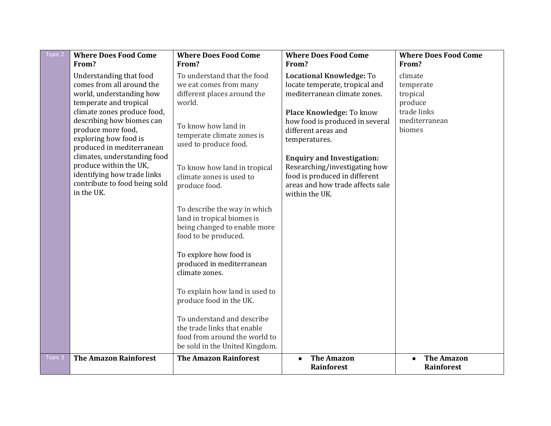| Topic 2 | <b>Where Does Food Come</b>                                                                                                                                                                                                                                                                                                                                                                | <b>Where Does Food Come</b>                                                                                                                                                                                                                                                               | <b>Where Does Food Come</b>                                                                                                                                                                                                                                                                                                                                           | <b>Where Does Food Come</b>                                                           |
|---------|--------------------------------------------------------------------------------------------------------------------------------------------------------------------------------------------------------------------------------------------------------------------------------------------------------------------------------------------------------------------------------------------|-------------------------------------------------------------------------------------------------------------------------------------------------------------------------------------------------------------------------------------------------------------------------------------------|-----------------------------------------------------------------------------------------------------------------------------------------------------------------------------------------------------------------------------------------------------------------------------------------------------------------------------------------------------------------------|---------------------------------------------------------------------------------------|
|         | From?                                                                                                                                                                                                                                                                                                                                                                                      | From?                                                                                                                                                                                                                                                                                     | From?                                                                                                                                                                                                                                                                                                                                                                 | From?                                                                                 |
|         | Understanding that food<br>comes from all around the<br>world, understanding how<br>temperate and tropical<br>climate zones produce food,<br>describing how biomes can<br>produce more food,<br>exploring how food is<br>produced in mediterranean<br>climates, understanding food<br>produce within the UK,<br>identifying how trade links<br>contribute to food being sold<br>in the UK. | To understand that the food<br>we eat comes from many<br>different places around the<br>world.<br>To know how land in<br>temperate climate zones is<br>used to produce food.<br>To know how land in tropical<br>climate zones is used to<br>produce food.<br>To describe the way in which | <b>Locational Knowledge: To</b><br>locate temperate, tropical and<br>mediterranean climate zones.<br>Place Knowledge: To know<br>how food is produced in several<br>different areas and<br>temperatures.<br><b>Enquiry and Investigation:</b><br>Researching/investigating how<br>food is produced in different<br>areas and how trade affects sale<br>within the UK. | climate<br>temperate<br>tropical<br>produce<br>trade links<br>mediterranean<br>biomes |
|         |                                                                                                                                                                                                                                                                                                                                                                                            | land in tropical biomes is<br>being changed to enable more<br>food to be produced.<br>To explore how food is<br>produced in mediterranean<br>climate zones.<br>To explain how land is used to<br>produce food in the UK.                                                                  |                                                                                                                                                                                                                                                                                                                                                                       |                                                                                       |
| Topic 3 | <b>The Amazon Rainforest</b>                                                                                                                                                                                                                                                                                                                                                               | To understand and describe<br>the trade links that enable<br>food from around the world to<br>be sold in the United Kingdom.<br><b>The Amazon Rainforest</b>                                                                                                                              | <b>The Amazon</b>                                                                                                                                                                                                                                                                                                                                                     | <b>The Amazon</b>                                                                     |
|         |                                                                                                                                                                                                                                                                                                                                                                                            |                                                                                                                                                                                                                                                                                           | <b>Rainforest</b>                                                                                                                                                                                                                                                                                                                                                     | Rainforest                                                                            |